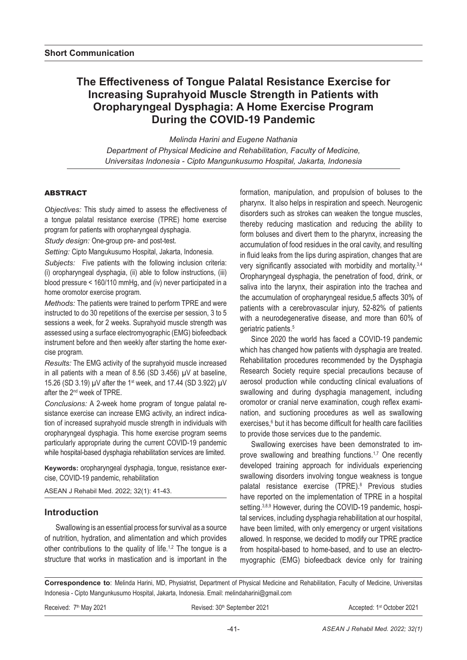# **The Effectiveness of Tongue Palatal Resistance Exercise for Increasing Suprahyoid Muscle Strength in Patients with Oropharyngeal Dysphagia: A Home Exercise Program During the COVID-19 Pandemic**

*Melinda Harini and Eugene Nathania Department of Physical Medicine and Rehabilitation, Faculty of Medicine, Universitas Indonesia - Cipto Mangunkusumo Hospital, Jakarta, Indonesia*

### ABSTRACT

*Objectives:* This study aimed to assess the effectiveness of a tongue palatal resistance exercise (TPRE) home exercise program for patients with oropharyngeal dysphagia.

*Study design:* One-group pre- and post-test.

*Setting:* Cipto Mangukusumo Hospital, Jakarta, Indonesia.

*Subjects:* Five patients with the following inclusion criteria: (i) oropharyngeal dysphagia, (ii) able to follow instructions, (iii) blood pressure < 160/110 mmHg, and (iv) never participated in a home oromotor exercise program.

*Methods:* The patients were trained to perform TPRE and were instructed to do 30 repetitions of the exercise per session, 3 to 5 sessions a week, for 2 weeks. Suprahyoid muscle strength was assessed using a surface electromyographic (EMG) biofeedback instrument before and then weekly after starting the home exercise program.

*Results:* The EMG activity of the suprahyoid muscle increased in all patients with a mean of 8.56 (SD 3.456) µV at baseline, 15.26 (SD 3.19) µV after the 1<sup>st</sup> week, and 17.44 (SD 3.922) µV after the 2nd week of TPRE.

*Conclusions:* A 2-week home program of tongue palatal resistance exercise can increase EMG activity, an indirect indication of increased suprahyoid muscle strength in individuals with oropharyngeal dysphagia. This home exercise program seems particularly appropriate during the current COVID-19 pandemic while hospital-based dysphagia rehabilitation services are limited.

**Keywords:** oropharyngeal dysphagia, tongue, resistance exercise, COVID-19 pandemic, rehabilitation

ASEAN J Rehabil Med. 2022; 32(1): 41-43.

# **Introduction**

Swallowing is an essential process for survival as a source of nutrition, hydration, and alimentation and which provides other contributions to the quality of life.<sup>1,2</sup> The tongue is a structure that works in mastication and is important in the

formation, manipulation, and propulsion of boluses to the pharynx. It also helps in respiration and speech. Neurogenic disorders such as strokes can weaken the tongue muscles, thereby reducing mastication and reducing the ability to form boluses and divert them to the pharynx, increasing the accumulation of food residues in the oral cavity, and resulting in fluid leaks from the lips during aspiration, changes that are very significantly associated with morbidity and mortality.3,4 Oropharyngeal dysphagia, the penetration of food, drink, or saliva into the larynx, their aspiration into the trachea and the accumulation of oropharyngeal residue,5 affects 30% of patients with a cerebrovascular injury, 52-82% of patients with a neurodegenerative disease, and more than 60% of geriatric patients.5

Since 2020 the world has faced a COVID-19 pandemic which has changed how patients with dysphagia are treated. Rehabilitation procedures recommended by the Dysphagia Research Society require special precautions because of aerosol production while conducting clinical evaluations of swallowing and during dysphagia management, including oromotor or cranial nerve examination, cough reflex examination, and suctioning procedures as well as swallowing exercises,<sup>6</sup> but it has become difficult for health care facilities to provide those services due to the pandemic.

Swallowing exercises have been demonstrated to improve swallowing and breathing functions.<sup>1,7</sup> One recently developed training approach for individuals experiencing swallowing disorders involving tongue weakness is tongue palatal resistance exercise (TPRE).<sup>8</sup> Previous studies have reported on the implementation of TPRE in a hospital setting.<sup>3,8,9</sup> However, during the COVID-19 pandemic, hospital services, including dysphagia rehabilitation at our hospital, have been limited, with only emergency or urgent visitations allowed. In response, we decided to modify our TPRE practice from hospital-based to home-based, and to use an electromyographic (EMG) biofeedback device only for training

**Correspondence to**: Melinda Harini, MD, Physiatrist, Department of Physical Medicine and Rehabilitation, Faculty of Medicine, Universitas Indonesia - Cipto Mangunkusumo Hospital, Jakarta, Indonesia. Email: melindaharini@gmail.com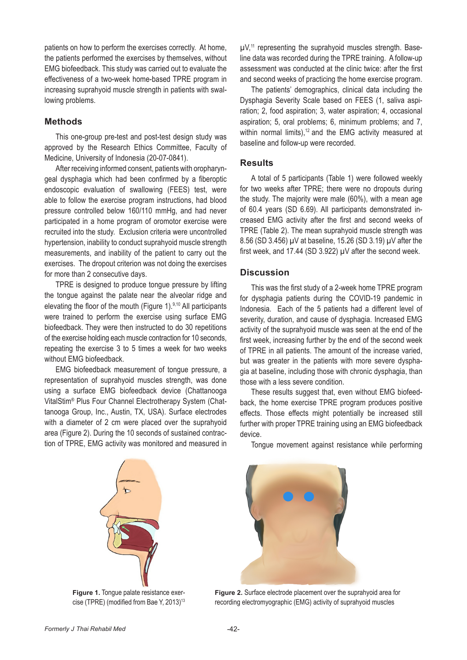patients on how to perform the exercises correctly. At home, the patients performed the exercises by themselves, without EMG biofeedback. This study was carried out to evaluate the effectiveness of a two-week home-based TPRE program in increasing suprahyoid muscle strength in patients with swallowing problems.

#### **Methods**

This one-group pre-test and post-test design study was approved by the Research Ethics Committee, Faculty of Medicine, University of Indonesia (20-07-0841).

After receiving informed consent, patients with oropharyngeal dysphagia which had been confirmed by a fiberoptic endoscopic evaluation of swallowing (FEES) test, were able to follow the exercise program instructions, had blood pressure controlled below 160/110 mmHg, and had never participated in a home program of oromotor exercise were recruited into the study. Exclusion criteria were uncontrolled hypertension, inability to conduct suprahyoid muscle strength measurements, and inability of the patient to carry out the exercises. The dropout criterion was not doing the exercises for more than 2 consecutive days.

TPRE is designed to produce tongue pressure by lifting the tongue against the palate near the alveolar ridge and elevating the floor of the mouth (Figure 1).9,10 All participants were trained to perform the exercise using surface EMG biofeedback. They were then instructed to do 30 repetitions of the exercise holding each muscle contraction for 10 seconds, repeating the exercise 3 to 5 times a week for two weeks without EMG biofeedback.

EMG biofeedback measurement of tongue pressure, a representation of suprahyoid muscles strength, was done using a surface EMG biofeedback device (Chattanooga VitalStim® Plus Four Channel Electrotherapy System (Chattanooga Group, Inc., Austin, TX, USA). Surface electrodes with a diameter of 2 cm were placed over the suprahyoid area (Figure 2). During the 10 seconds of sustained contraction of TPRE, EMG activity was monitored and measured in

 $\mu$ V,<sup>11</sup> representing the suprahyoid muscles strength. Baseline data was recorded during the TPRE training. A follow-up assessment was conducted at the clinic twice: after the first and second weeks of practicing the home exercise program.

The patients' demographics, clinical data including the Dysphagia Severity Scale based on FEES (1, saliva aspiration; 2, food aspiration; 3, water aspiration; 4, occasional aspiration; 5, oral problems; 6, minimum problems; and 7, within normal limits),<sup>12</sup> and the EMG activity measured at baseline and follow-up were recorded.

#### **Results**

A total of 5 participants (Table 1) were followed weekly for two weeks after TPRE; there were no dropouts during the study. The majority were male (60%), with a mean age of 60.4 years (SD 6.69). All participants demonstrated increased EMG activity after the first and second weeks of TPRE (Table 2). The mean suprahyoid muscle strength was 8.56 (SD 3.456) µV at baseline, 15.26 (SD 3.19) µV after the first week, and 17.44 (SD 3.922) µV after the second week.

#### **Discussion**

This was the first study of a 2-week home TPRE program for dysphagia patients during the COVID-19 pandemic in Indonesia. Each of the 5 patients had a different level of severity, duration, and cause of dysphagia. Increased EMG activity of the suprahyoid muscle was seen at the end of the first week, increasing further by the end of the second week of TPRE in all patients. The amount of the increase varied, but was greater in the patients with more severe dysphagia at baseline, including those with chronic dysphagia, than those with a less severe condition.

These results suggest that, even without EMG biofeedback, the home exercise TPRE program produces positive effects. Those effects might potentially be increased still further with proper TPRE training using an EMG biofeedback device.



**Figure 1.** Tongue palate resistance exercise (TPRE) (modified from Bae Y, 2013)<sup>13</sup>

Tongue movement against resistance while performing